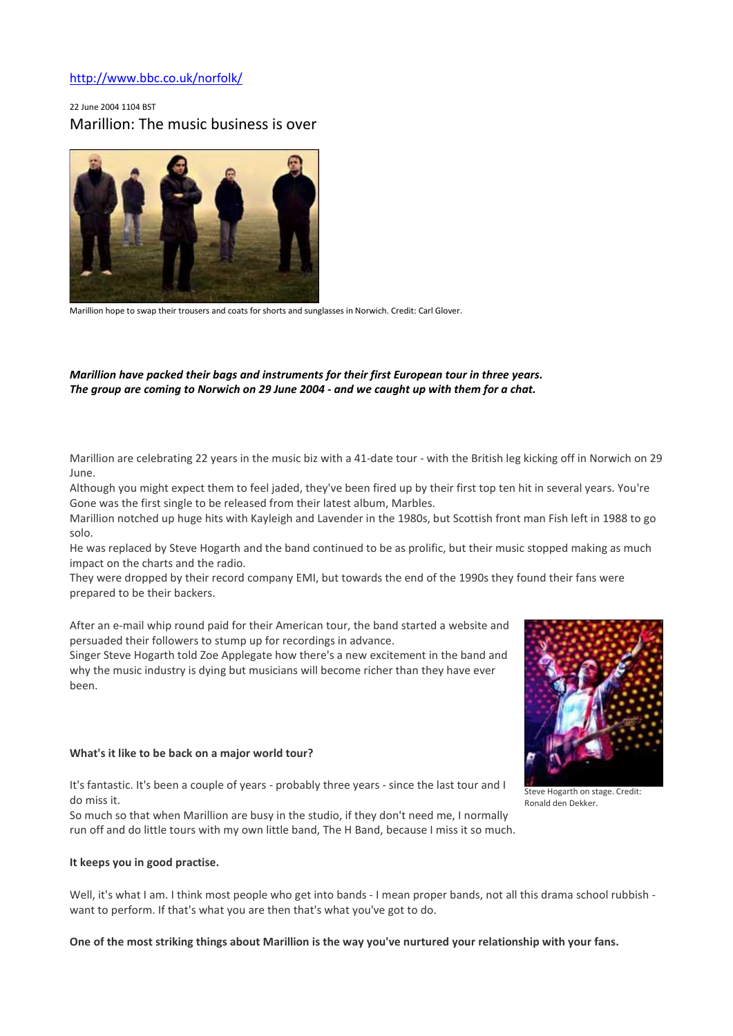# http://www.bbc.co.uk/norfolk/

# 22 June 2004 1104 BST Marillion: The music business is over



Marillion hope to swap their trousers and coats for shorts and sunglasses in Norwich. Credit: Carl Glover.

# *Marillion have packed their bags and instruments for their first European tour in three years. The group are coming to Norwich on 29 June 2004 - and we caught up with them for a chat.*

Marillion are celebrating 22 years in the music biz with a 41-date tour - with the British leg kicking off in Norwich on 29 June.

Although you might expect them to feel jaded, they've been fired up by their first top ten hit in several years. You're Gone was the first single to be released from their latest album, Marbles.

Marillion notched up huge hits with Kayleigh and Lavender in the 1980s, but Scottish front man Fish left in 1988 to go solo.

He was replaced by Steve Hogarth and the band continued to be as prolific, but their music stopped making as much impact on the charts and the radio.

They were dropped by their record company EMI, but towards the end of the 1990s they found their fans were prepared to be their backers.

After an e-mail whip round paid for their American tour, the band started a website and persuaded their followers to stump up for recordings in advance.

Singer Steve Hogarth told Zoe Applegate how there's a new excitement in the band and why the music industry is dying but musicians will become richer than they have ever been.

## What's it like to be back on a major world tour?

It's fantastic. It's been a couple of years - probably three years - since the last tour and I do miss it.

So much so that when Marillion are busy in the studio, if they don't need me, I normally run off and do little tours with my own little band, The H Band, because I miss it so much.

#### It keeps you in good practise.

Well, it's what I am. I think most people who get into bands - I mean proper bands, not all this drama school rubbish want to perform. If that's what you are then that's what you've got to do.

#### One of the most striking things about Marillion is the way you've nurtured your relationship with your fans.





Steve Hogarth on stage. Credit: Ronald den Dekker.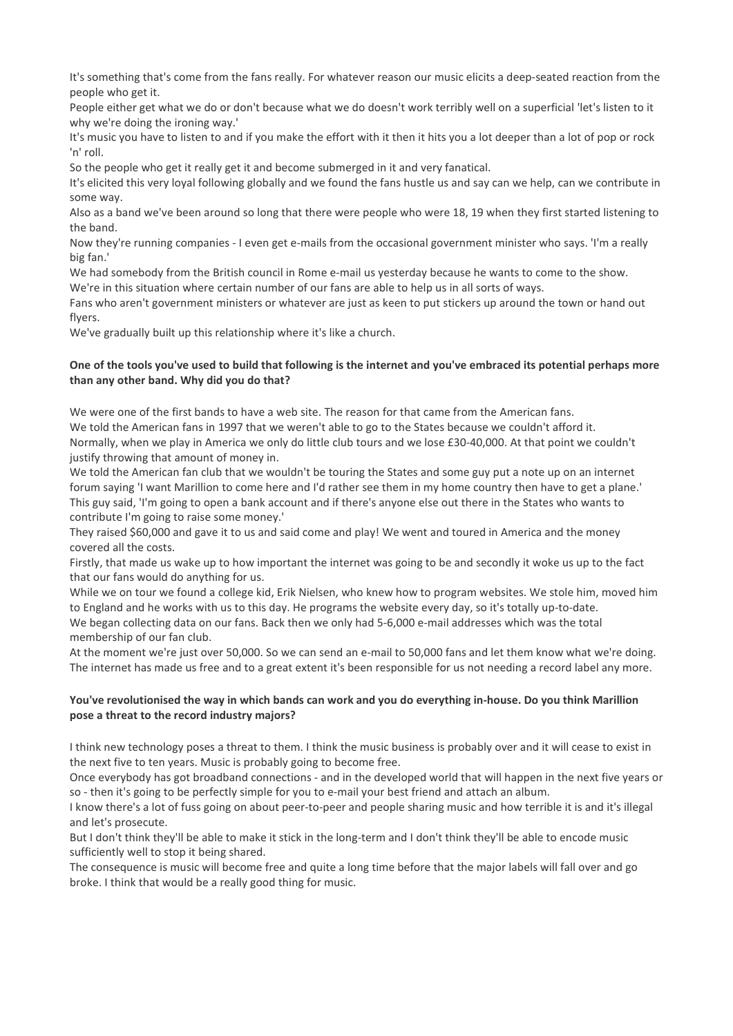It's something that's come from the fans really. For whatever reason our music elicits a deep-seated reaction from the people who get it.

People either get what we do or don't because what we do doesn't work terribly well on a superficial 'let's listen to it why we're doing the ironing way.'

It's music you have to listen to and if you make the effort with it then it hits you a lot deeper than a lot of pop or rock 'n' roll.

So the people who get it really get it and become submerged in it and very fanatical.

It's elicited this very loyal following globally and we found the fans hustle us and say can we help, can we contribute in some way.

Also as a band we've been around so long that there were people who were 18, 19 when they first started listening to the band.

Now they're running companies - I even get e-mails from the occasional government minister who says. 'I'm a really big fan.'

We had somebody from the British council in Rome e-mail us yesterday because he wants to come to the show. We're in this situation where certain number of our fans are able to help us in all sorts of ways.

Fans who aren't government ministers or whatever are just as keen to put stickers up around the town or hand out flyers.

We've gradually built up this relationship where it's like a church.

# One of the tools you've used to build that following is the internet and you've embraced its potential perhaps more than any other band. Why did you do that?

We were one of the first bands to have a web site. The reason for that came from the American fans. We told the American fans in 1997 that we weren't able to go to the States because we couldn't afford it. Normally, when we play in America we only do little club tours and we lose £30-40,000. At that point we couldn't justify throwing that amount of money in.

We told the American fan club that we wouldn't be touring the States and some guy put a note up on an internet forum saying 'I want Marillion to come here and I'd rather see them in my home country then have to get a plane.' This guy said, 'I'm going to open a bank account and if there's anyone else out there in the States who wants to contribute I'm going to raise some money.'

They raised \$60,000 and gave it to us and said come and play! We went and toured in America and the money covered all the costs.

Firstly, that made us wake up to how important the internet was going to be and secondly it woke us up to the fact that our fans would do anything for us.

While we on tour we found a college kid, Erik Nielsen, who knew how to program websites. We stole him, moved him to England and he works with us to this day. He programs the website every day, so it's totally up-to-date. We began collecting data on our fans. Back then we only had 5-6,000 e-mail addresses which was the total membership of our fan club.

At the moment we're just over 50,000. So we can send an e-mail to 50,000 fans and let them know what we're doing. The internet has made us free and to a great extent it's been responsible for us not needing a record label any more.

# You've revolutionised the way in which bands can work and you do everything in-house. Do you think Marillion pose a threat to the record industry majors?

I think new technology poses a threat to them. I think the music business is probably over and it will cease to exist in the next five to ten years. Music is probably going to become free.

Once everybody has got broadband connections - and in the developed world that will happen in the next five years or so - then it's going to be perfectly simple for you to e-mail your best friend and attach an album.

I know there's a lot of fuss going on about peer-to-peer and people sharing music and how terrible it is and it's illegal and let's prosecute.

But I don't think they'll be able to make it stick in the long-term and I don't think they'll be able to encode music sufficiently well to stop it being shared.

The consequence is music will become free and quite a long time before that the major labels will fall over and go broke. I think that would be a really good thing for music.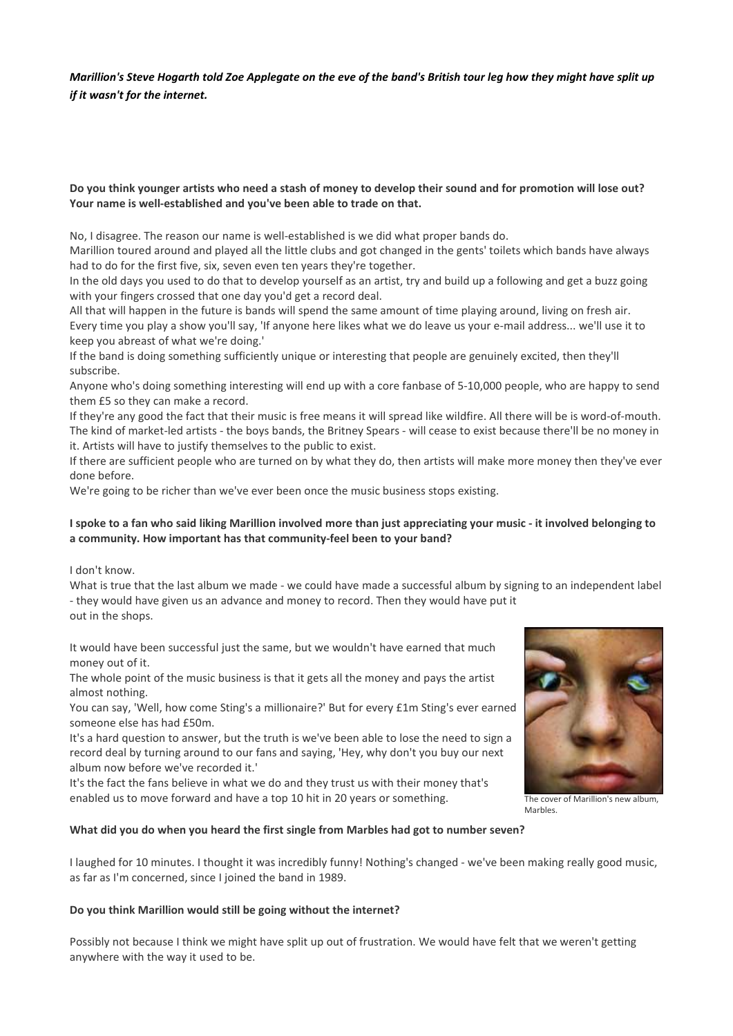*Marillion's Steve Hogarth told Zoe Applegate on the eve of the band's British tour leg how they might have split up if it wasn't for the internet.*

# Do you think younger artists who need a stash of money to develop their sound and for promotion will lose out? Your name is well-established and you've been able to trade on that.

No, I disagree. The reason our name is well-established is we did what proper bands do.

Marillion toured around and played all the little clubs and got changed in the gents' toilets which bands have always had to do for the first five, six, seven even ten years they're together.

In the old days you used to do that to develop yourself as an artist, try and build up a following and get a buzz going with your fingers crossed that one day you'd get a record deal.

All that will happen in the future is bands will spend the same amount of time playing around, living on fresh air. Every time you play a show you'll say, 'If anyone here likes what we do leave us your e-mail address... we'll use it to keep you abreast of what we're doing.'

If the band is doing something sufficiently unique or interesting that people are genuinely excited, then they'll subscribe.

Anyone who's doing something interesting will end up with a core fanbase of 5-10,000 people, who are happy to send them £5 so they can make a record.

If they're any good the fact that their music is free means it will spread like wildfire. All there will be is word-of-mouth. The kind of market-led artists - the boys bands, the Britney Spears - will cease to exist because there'll be no money in it. Artists will have to justify themselves to the public to exist.

If there are sufficient people who are turned on by what they do, then artists will make more money then they've ever done before.

We're going to be richer than we've ever been once the music business stops existing.

# I spoke to a fan who said liking Marillion involved more than just appreciating your music - it involved belonging to a community. How important has that community-feel been to your band?

I don't know.

What is true that the last album we made - we could have made a successful album by signing to an independent label - they would have given us an advance and money to record. Then they would have put it out in the shops.

It would have been successful just the same, but we wouldn't have earned that much money out of it.

The whole point of the music business is that it gets all the money and pays the artist almost nothing.

You can say, 'Well, how come Sting's a millionaire?' But for every £1m Sting's ever earned someone else has had £50m.

It's a hard question to answer, but the truth is we've been able to lose the need to sign a record deal by turning around to our fans and saying, 'Hey, why don't you buy our next album now before we've recorded it.'

It's the fact the fans believe in what we do and they trust us with their money that's enabled us to move forward and have a top 10 hit in 20 years or something.



The cover of Marillion's new album, Marbles.

## What did you do when you heard the first single from Marbles had got to number seven?

I laughed for 10 minutes. I thought it was incredibly funny! Nothing's changed - we've been making really good music, as far as I'm concerned, since I joined the band in 1989.

## Do you think Marillion would still be going without the internet?

Possibly not because I think we might have split up out of frustration. We would have felt that we weren't getting anywhere with the way it used to be.